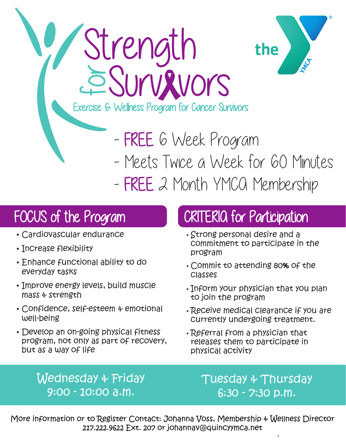

- FREE 6 Week Program

- Meets Twice a Week for 60 Minutes

- FREE 2 Month YMCQ Membership

## FOCUS of the Program

- Cardiovascular endurance
- Increase flexibility
- Enhance functional ability to do everyday tasks
- Improve energy levels, build muscle mass & strength
- Confidence, self-esteem & emotional well-being
- Develop an on-going physical fitness program, not only as part of recovery, but as a way of life.

## CRITERIA for Participation

- Strong personal desire and a commitment to participate in the program
- Commit to attending 80% of the classes
- Inform your physician that you plan to join the program
- Receive medical clearance if you are currently undergoing treatment.
- Referral from a physician that releases them to participate in physical activity

Wednesday & Friday 9:00 - 10:00 a.m.

Tuesday & Thursday 6:30 - 7:30 p.m.

More information or to Register Contact: Johanna Voss, Membership & Wellness Director 217.222.9622 Ext. 207 or johannav@quincyymca.net